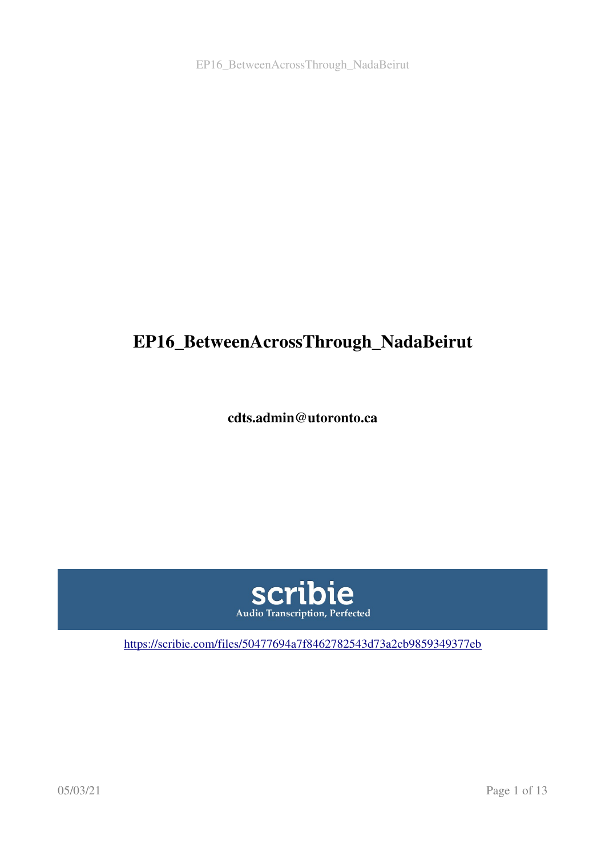EP16\_BetweenAcrossThrough\_NadaBeirut

# EP16\_BetweenAcrossThrough\_NadaBeirut

cdts.admin@utoronto.ca



<https://scribie.com/files/50477694a7f8462782543d73a2cb9859349377eb>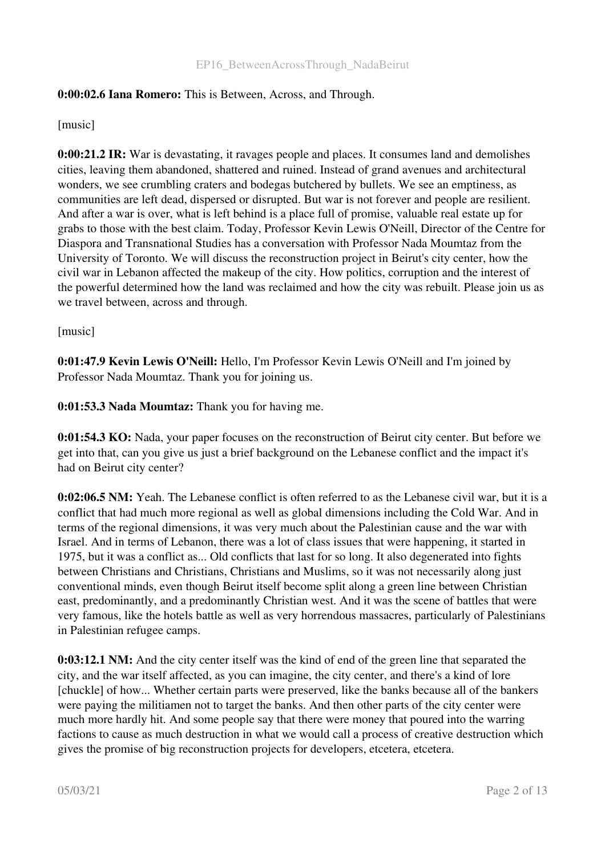### 0:00:02.6 Iana Romero: This is Between, Across, and Through.

#### [music]

0:00:21.2 IR: War is devastating, it ravages people and places. It consumes land and demolishes cities, leaving them abandoned, shattered and ruined. Instead of grand avenues and architectural wonders, we see crumbling craters and bodegas butchered by bullets. We see an emptiness, as communities are left dead, dispersed or disrupted. But war is not forever and people are resilient. And after a war is over, what is left behind is a place full of promise, valuable real estate up for grabs to those with the best claim. Today, Professor Kevin Lewis O'Neill, Director of the Centre for Diaspora and Transnational Studies has a conversation with Professor Nada Moumtaz from the University of Toronto. We will discuss the reconstruction project in Beirut's city center, how the civil war in Lebanon affected the makeup of the city. How politics, corruption and the interest of the powerful determined how the land was reclaimed and how the city was rebuilt. Please join us as we travel between, across and through.

[music]

0:01:47.9 Kevin Lewis O'Neill: Hello, I'm Professor Kevin Lewis O'Neill and I'm joined by Professor Nada Moumtaz. Thank you for joining us.

0:01:53.3 Nada Moumtaz: Thank you for having me.

0:01:54.3 KO: Nada, your paper focuses on the reconstruction of Beirut city center. But before we get into that, can you give us just a brief background on the Lebanese conflict and the impact it's had on Beirut city center?

0:02:06.5 NM: Yeah. The Lebanese conflict is often referred to as the Lebanese civil war, but it is a conflict that had much more regional as well as global dimensions including the Cold War. And in terms of the regional dimensions, it was very much about the Palestinian cause and the war with Israel. And in terms of Lebanon, there was a lot of class issues that were happening, it started in 1975, but it was a conflict as... Old conflicts that last for so long. It also degenerated into fights between Christians and Christians, Christians and Muslims, so it was not necessarily along just conventional minds, even though Beirut itself become split along a green line between Christian east, predominantly, and a predominantly Christian west. And it was the scene of battles that were very famous, like the hotels battle as well as very horrendous massacres, particularly of Palestinians in Palestinian refugee camps.

0:03:12.1 NM: And the city center itself was the kind of end of the green line that separated the city, and the war itself affected, as you can imagine, the city center, and there's a kind of lore [chuckle] of how... Whether certain parts were preserved, like the banks because all of the bankers were paying the militiamen not to target the banks. And then other parts of the city center were much more hardly hit. And some people say that there were money that poured into the warring factions to cause as much destruction in what we would call a process of creative destruction which gives the promise of big reconstruction projects for developers, etcetera, etcetera.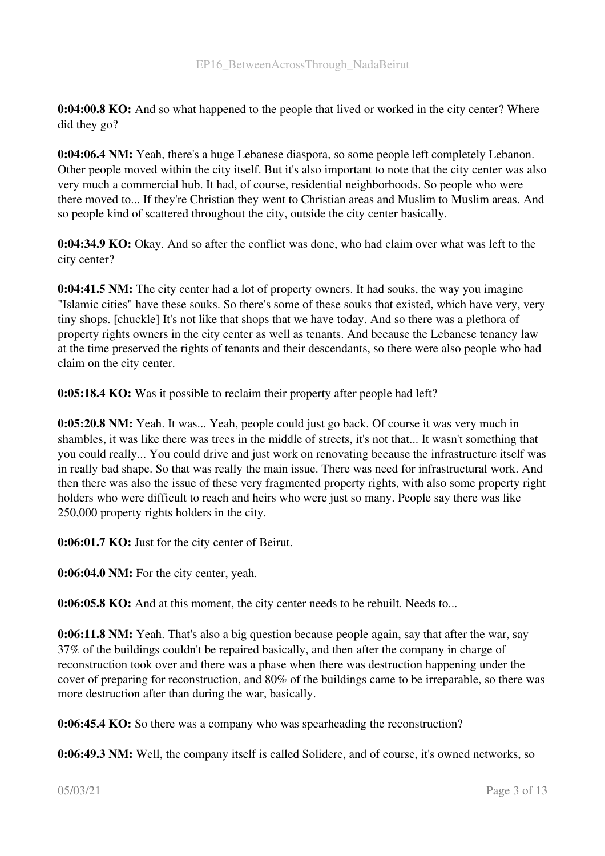0:04:00.8 KO: And so what happened to the people that lived or worked in the city center? Where did they go?

0:04:06.4 NM: Yeah, there's a huge Lebanese diaspora, so some people left completely Lebanon. Other people moved within the city itself. But it's also important to note that the city center was also very much a commercial hub. It had, of course, residential neighborhoods. So people who were there moved to... If they're Christian they went to Christian areas and Muslim to Muslim areas. And so people kind of scattered throughout the city, outside the city center basically.

0:04:34.9 KO: Okay. And so after the conflict was done, who had claim over what was left to the city center?

0:04:41.5 NM: The city center had a lot of property owners. It had souks, the way you imagine "Islamic cities" have these souks. So there's some of these souks that existed, which have very, very tiny shops. [chuckle] It's not like that shops that we have today. And so there was a plethora of property rights owners in the city center as well as tenants. And because the Lebanese tenancy law at the time preserved the rights of tenants and their descendants, so there were also people who had claim on the city center.

0:05:18.4 KO: Was it possible to reclaim their property after people had left?

0:05:20.8 NM: Yeah. It was... Yeah, people could just go back. Of course it was very much in shambles, it was like there was trees in the middle of streets, it's not that... It wasn't something that you could really... You could drive and just work on renovating because the infrastructure itself was in really bad shape. So that was really the main issue. There was need for infrastructural work. And then there was also the issue of these very fragmented property rights, with also some property right holders who were difficult to reach and heirs who were just so many. People say there was like 250,000 property rights holders in the city.

0:06:01.7 KO: Just for the city center of Beirut.

0:06:04.0 NM: For the city center, yeah.

0:06:05.8 KO: And at this moment, the city center needs to be rebuilt. Needs to...

0:06:11.8 NM: Yeah. That's also a big question because people again, say that after the war, say 37% of the buildings couldn't be repaired basically, and then after the company in charge of reconstruction took over and there was a phase when there was destruction happening under the cover of preparing for reconstruction, and 80% of the buildings came to be irreparable, so there was more destruction after than during the war, basically.

0:06:45.4 KO: So there was a company who was spearheading the reconstruction?

0:06:49.3 NM: Well, the company itself is called Solidere, and of course, it's owned networks, so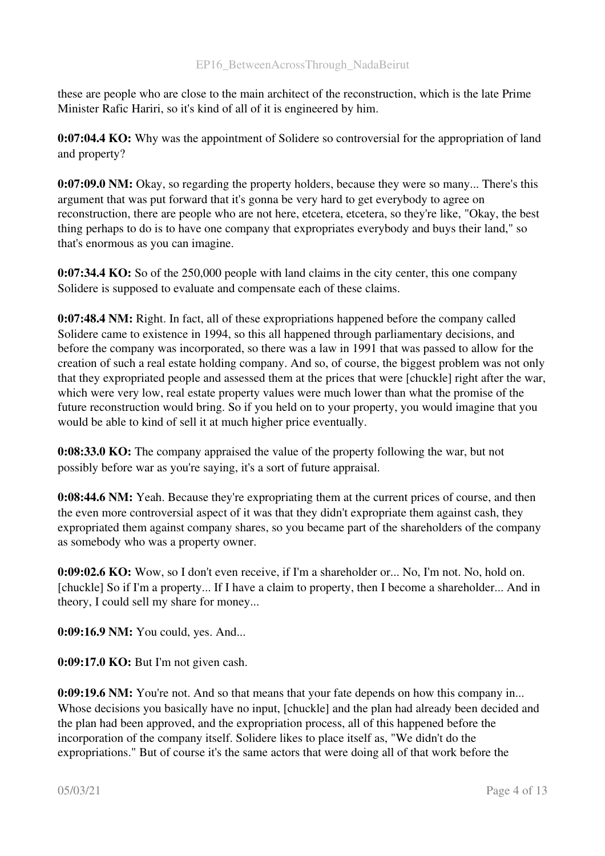these are people who are close to the main architect of the reconstruction, which is the late Prime Minister Rafic Hariri, so it's kind of all of it is engineered by him.

0:07:04.4 KO: Why was the appointment of Solidere so controversial for the appropriation of land and property?

0:07:09.0 NM: Okay, so regarding the property holders, because they were so many... There's this argument that was put forward that it's gonna be very hard to get everybody to agree on reconstruction, there are people who are not here, etcetera, etcetera, so they're like, "Okay, the best thing perhaps to do is to have one company that expropriates everybody and buys their land," so that's enormous as you can imagine.

0:07:34.4 KO: So of the 250,000 people with land claims in the city center, this one company Solidere is supposed to evaluate and compensate each of these claims.

0:07:48.4 NM: Right. In fact, all of these expropriations happened before the company called Solidere came to existence in 1994, so this all happened through parliamentary decisions, and before the company was incorporated, so there was a law in 1991 that was passed to allow for the creation of such a real estate holding company. And so, of course, the biggest problem was not only that they expropriated people and assessed them at the prices that were [chuckle] right after the war, which were very low, real estate property values were much lower than what the promise of the future reconstruction would bring. So if you held on to your property, you would imagine that you would be able to kind of sell it at much higher price eventually.

0:08:33.0 KO: The company appraised the value of the property following the war, but not possibly before war as you're saying, it's a sort of future appraisal.

0:08:44.6 NM: Yeah. Because they're expropriating them at the current prices of course, and then the even more controversial aspect of it was that they didn't expropriate them against cash, they expropriated them against company shares, so you became part of the shareholders of the company as somebody who was a property owner.

0:09:02.6 KO: Wow, so I don't even receive, if I'm a shareholder or... No, I'm not. No, hold on. [chuckle] So if I'm a property... If I have a claim to property, then I become a shareholder... And in theory, I could sell my share for money...

0:09:16.9 NM: You could, yes. And...

0:09:17.0 KO: But I'm not given cash.

0:09:19.6 NM: You're not. And so that means that your fate depends on how this company in... Whose decisions you basically have no input, [chuckle] and the plan had already been decided and the plan had been approved, and the expropriation process, all of this happened before the incorporation of the company itself. Solidere likes to place itself as, "We didn't do the expropriations." But of course it's the same actors that were doing all of that work before the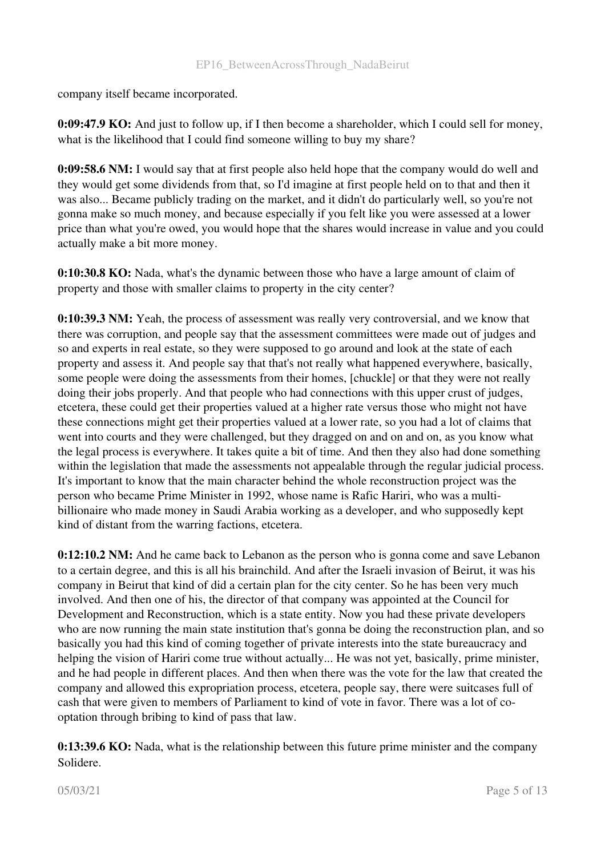company itself became incorporated.

0:09:47.9 KO: And just to follow up, if I then become a shareholder, which I could sell for money, what is the likelihood that I could find someone willing to buy my share?

0:09:58.6 NM: I would say that at first people also held hope that the company would do well and they would get some dividends from that, so I'd imagine at first people held on to that and then it was also... Became publicly trading on the market, and it didn't do particularly well, so you're not gonna make so much money, and because especially if you felt like you were assessed at a lower price than what you're owed, you would hope that the shares would increase in value and you could actually make a bit more money.

0:10:30.8 KO: Nada, what's the dynamic between those who have a large amount of claim of property and those with smaller claims to property in the city center?

0:10:39.3 NM: Yeah, the process of assessment was really very controversial, and we know that there was corruption, and people say that the assessment committees were made out of judges and so and experts in real estate, so they were supposed to go around and look at the state of each property and assess it. And people say that that's not really what happened everywhere, basically, some people were doing the assessments from their homes, [chuckle] or that they were not really doing their jobs properly. And that people who had connections with this upper crust of judges, etcetera, these could get their properties valued at a higher rate versus those who might not have these connections might get their properties valued at a lower rate, so you had a lot of claims that went into courts and they were challenged, but they dragged on and on and on, as you know what the legal process is everywhere. It takes quite a bit of time. And then they also had done something within the legislation that made the assessments not appealable through the regular judicial process. It's important to know that the main character behind the whole reconstruction project was the person who became Prime Minister in 1992, whose name is Rafic Hariri, who was a multibillionaire who made money in Saudi Arabia working as a developer, and who supposedly kept kind of distant from the warring factions, etcetera.

0:12:10.2 NM: And he came back to Lebanon as the person who is gonna come and save Lebanon to a certain degree, and this is all his brainchild. And after the Israeli invasion of Beirut, it was his company in Beirut that kind of did a certain plan for the city center. So he has been very much involved. And then one of his, the director of that company was appointed at the Council for Development and Reconstruction, which is a state entity. Now you had these private developers who are now running the main state institution that's gonna be doing the reconstruction plan, and so basically you had this kind of coming together of private interests into the state bureaucracy and helping the vision of Hariri come true without actually... He was not yet, basically, prime minister, and he had people in different places. And then when there was the vote for the law that created the company and allowed this expropriation process, etcetera, people say, there were suitcases full of cash that were given to members of Parliament to kind of vote in favor. There was a lot of cooptation through bribing to kind of pass that law.

0:13:39.6 KO: Nada, what is the relationship between this future prime minister and the company Solidere.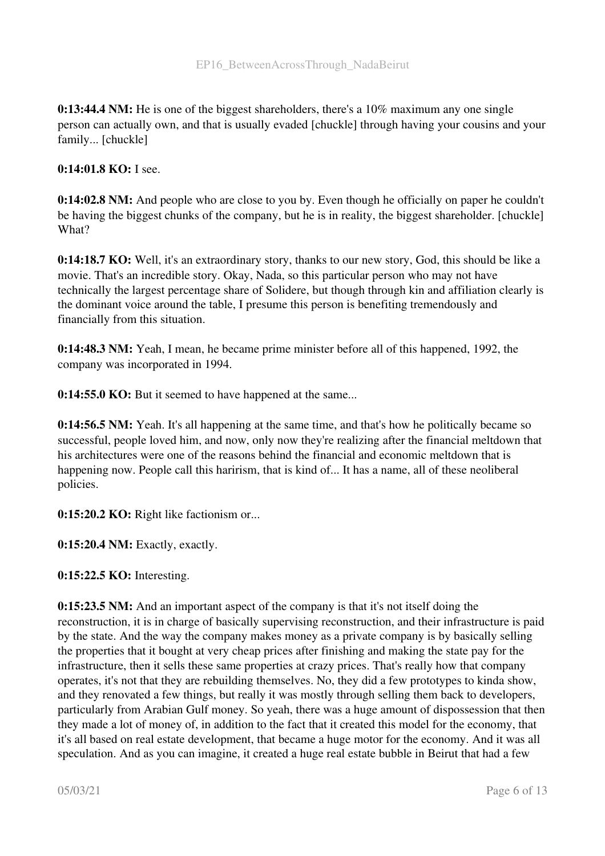0:13:44.4 NM: He is one of the biggest shareholders, there's a 10% maximum any one single person can actually own, and that is usually evaded [chuckle] through having your cousins and your family... [chuckle]

0:14:01.8 KO: I see.

0:14:02.8 NM: And people who are close to you by. Even though he officially on paper he couldn't be having the biggest chunks of the company, but he is in reality, the biggest shareholder. [chuckle] What?

0:14:18.7 KO: Well, it's an extraordinary story, thanks to our new story, God, this should be like a movie. That's an incredible story. Okay, Nada, so this particular person who may not have technically the largest percentage share of Solidere, but though through kin and affiliation clearly is the dominant voice around the table, I presume this person is benefiting tremendously and financially from this situation.

0:14:48.3 NM: Yeah, I mean, he became prime minister before all of this happened, 1992, the company was incorporated in 1994.

0:14:55.0 KO: But it seemed to have happened at the same...

0:14:56.5 NM: Yeah. It's all happening at the same time, and that's how he politically became so successful, people loved him, and now, only now they're realizing after the financial meltdown that his architectures were one of the reasons behind the financial and economic meltdown that is happening now. People call this harirism, that is kind of... It has a name, all of these neoliberal policies.

0:15:20.2 KO: Right like factionism or...

0:15:20.4 NM: Exactly, exactly.

0:15:22.5 KO: Interesting.

0:15:23.5 NM: And an important aspect of the company is that it's not itself doing the reconstruction, it is in charge of basically supervising reconstruction, and their infrastructure is paid by the state. And the way the company makes money as a private company is by basically selling the properties that it bought at very cheap prices after finishing and making the state pay for the infrastructure, then it sells these same properties at crazy prices. That's really how that company operates, it's not that they are rebuilding themselves. No, they did a few prototypes to kinda show, and they renovated a few things, but really it was mostly through selling them back to developers, particularly from Arabian Gulf money. So yeah, there was a huge amount of dispossession that then they made a lot of money of, in addition to the fact that it created this model for the economy, that it's all based on real estate development, that became a huge motor for the economy. And it was all speculation. And as you can imagine, it created a huge real estate bubble in Beirut that had a few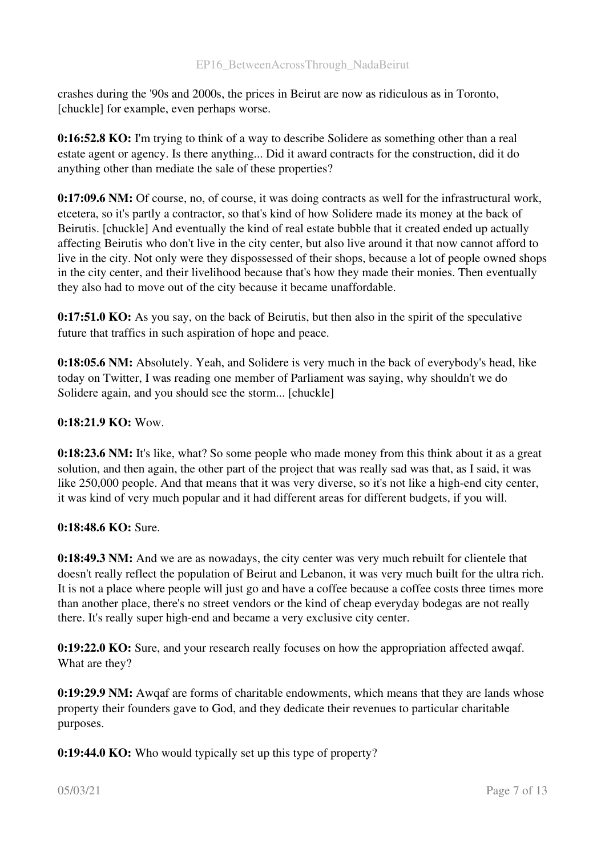crashes during the '90s and 2000s, the prices in Beirut are now as ridiculous as in Toronto, [chuckle] for example, even perhaps worse.

0:16:52.8 KO: I'm trying to think of a way to describe Solidere as something other than a real estate agent or agency. Is there anything... Did it award contracts for the construction, did it do anything other than mediate the sale of these properties?

0:17:09.6 NM: Of course, no, of course, it was doing contracts as well for the infrastructural work, etcetera, so it's partly a contractor, so that's kind of how Solidere made its money at the back of Beirutis. [chuckle] And eventually the kind of real estate bubble that it created ended up actually affecting Beirutis who don't live in the city center, but also live around it that now cannot afford to live in the city. Not only were they dispossessed of their shops, because a lot of people owned shops in the city center, and their livelihood because that's how they made their monies. Then eventually they also had to move out of the city because it became unaffordable.

0:17:51.0 KO: As you say, on the back of Beirutis, but then also in the spirit of the speculative future that traffics in such aspiration of hope and peace.

0:18:05.6 NM: Absolutely. Yeah, and Solidere is very much in the back of everybody's head, like today on Twitter, I was reading one member of Parliament was saying, why shouldn't we do Solidere again, and you should see the storm... [chuckle]

## 0:18:21.9 KO: Wow.

0:18:23.6 NM: It's like, what? So some people who made money from this think about it as a great solution, and then again, the other part of the project that was really sad was that, as I said, it was like 250,000 people. And that means that it was very diverse, so it's not like a high-end city center, it was kind of very much popular and it had different areas for different budgets, if you will.

### 0:18:48.6 KO: Sure.

0:18:49.3 NM: And we are as nowadays, the city center was very much rebuilt for clientele that doesn't really reflect the population of Beirut and Lebanon, it was very much built for the ultra rich. It is not a place where people will just go and have a coffee because a coffee costs three times more than another place, there's no street vendors or the kind of cheap everyday bodegas are not really there. It's really super high-end and became a very exclusive city center.

0:19:22.0 KO: Sure, and your research really focuses on how the appropriation affected awqaf. What are they?

0:19:29.9 NM: Awqaf are forms of charitable endowments, which means that they are lands whose property their founders gave to God, and they dedicate their revenues to particular charitable purposes.

0:19:44.0 KO: Who would typically set up this type of property?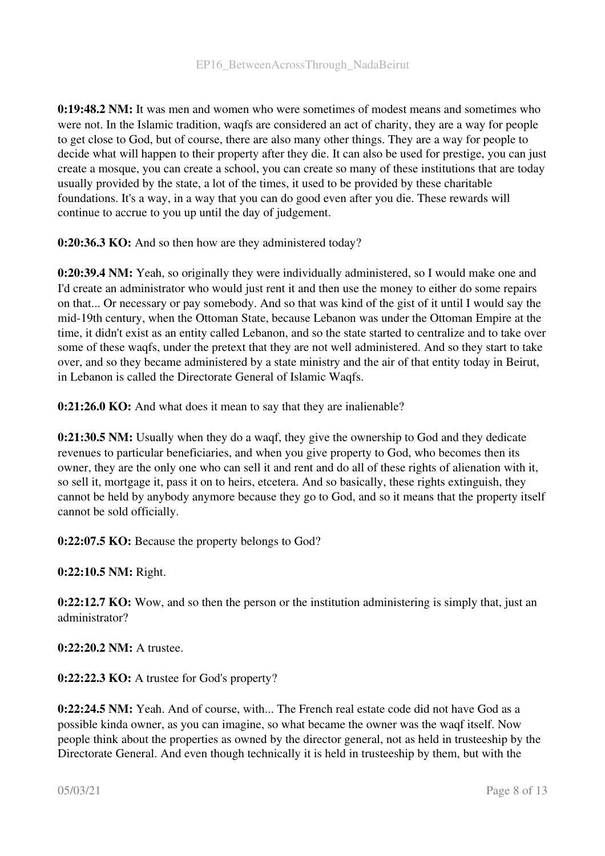0:19:48.2 NM: It was men and women who were sometimes of modest means and sometimes who were not. In the Islamic tradition, waqfs are considered an act of charity, they are a way for people to get close to God, but of course, there are also many other things. They are a way for people to decide what will happen to their property after they die. It can also be used for prestige, you can just create a mosque, you can create a school, you can create so many of these institutions that are today usually provided by the state, a lot of the times, it used to be provided by these charitable foundations. It's a way, in a way that you can do good even after you die. These rewards will continue to accrue to you up until the day of judgement.

0:20:36.3 KO: And so then how are they administered today?

0:20:39.4 NM: Yeah, so originally they were individually administered, so I would make one and I'd create an administrator who would just rent it and then use the money to either do some repairs on that... Or necessary or pay somebody. And so that was kind of the gist of it until I would say the mid-19th century, when the Ottoman State, because Lebanon was under the Ottoman Empire at the time, it didn't exist as an entity called Lebanon, and so the state started to centralize and to take over some of these waqfs, under the pretext that they are not well administered. And so they start to take over, and so they became administered by a state ministry and the air of that entity today in Beirut, in Lebanon is called the Directorate General of Islamic Waqfs.

0:21:26.0 KO: And what does it mean to say that they are inalienable?

0:21:30.5 NM: Usually when they do a waqf, they give the ownership to God and they dedicate revenues to particular beneficiaries, and when you give property to God, who becomes then its owner, they are the only one who can sell it and rent and do all of these rights of alienation with it, so sell it, mortgage it, pass it on to heirs, etcetera. And so basically, these rights extinguish, they cannot be held by anybody anymore because they go to God, and so it means that the property itself cannot be sold officially.

0:22:07.5 KO: Because the property belongs to God?

0:22:10.5 NM: Right.

**0:22:12.7 KO:** Wow, and so then the person or the institution administering is simply that, just an administrator?

0:22:20.2 NM: A trustee.

0:22:22.3 KO: A trustee for God's property?

0:22:24.5 NM: Yeah. And of course, with... The French real estate code did not have God as a possible kinda owner, as you can imagine, so what became the owner was the waqf itself. Now people think about the properties as owned by the director general, not as held in trusteeship by the Directorate General. And even though technically it is held in trusteeship by them, but with the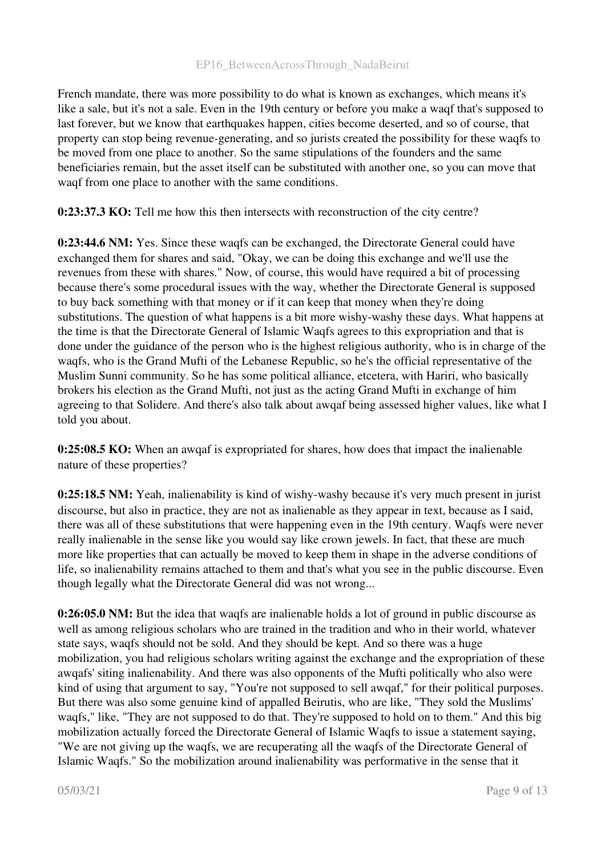French mandate, there was more possibility to do what is known as exchanges, which means it's like a sale, but it's not a sale. Even in the 19th century or before you make a waqf that's supposed to last forever, but we know that earthquakes happen, cities become deserted, and so of course, that property can stop being revenue-generating, and so jurists created the possibility for these waqfs to be moved from one place to another. So the same stipulations of the founders and the same beneficiaries remain, but the asset itself can be substituted with another one, so you can move that waqf from one place to another with the same conditions.

0:23:37.3 KO: Tell me how this then intersects with reconstruction of the city centre?

0:23:44.6 NM: Yes. Since these waqfs can be exchanged, the Directorate General could have exchanged them for shares and said, "Okay, we can be doing this exchange and we'll use the revenues from these with shares." Now, of course, this would have required a bit of processing because there's some procedural issues with the way, whether the Directorate General is supposed to buy back something with that money or if it can keep that money when they're doing substitutions. The question of what happens is a bit more wishy-washy these days. What happens at the time is that the Directorate General of Islamic Waqfs agrees to this expropriation and that is done under the guidance of the person who is the highest religious authority, who is in charge of the waqfs, who is the Grand Mufti of the Lebanese Republic, so he's the official representative of the Muslim Sunni community. So he has some political alliance, etcetera, with Hariri, who basically brokers his election as the Grand Mufti, not just as the acting Grand Mufti in exchange of him agreeing to that Solidere. And there's also talk about awqaf being assessed higher values, like what I told you about.

0:25:08.5 KO: When an awqaf is expropriated for shares, how does that impact the inalienable nature of these properties?

0:25:18.5 NM: Yeah, inalienability is kind of wishy-washy because it's very much present in jurist discourse, but also in practice, they are not as inalienable as they appear in text, because as I said, there was all of these substitutions that were happening even in the 19th century. Waqfs were never really inalienable in the sense like you would say like crown jewels. In fact, that these are much more like properties that can actually be moved to keep them in shape in the adverse conditions of life, so inalienability remains attached to them and that's what you see in the public discourse. Even though legally what the Directorate General did was not wrong...

0:26:05.0 NM: But the idea that waqfs are inalienable holds a lot of ground in public discourse as well as among religious scholars who are trained in the tradition and who in their world, whatever state says, waqfs should not be sold. And they should be kept. And so there was a huge mobilization, you had religious scholars writing against the exchange and the expropriation of these awqafs' siting inalienability. And there was also opponents of the Mufti politically who also were kind of using that argument to say, "You're not supposed to sell awqaf," for their political purposes. But there was also some genuine kind of appalled Beirutis, who are like, "They sold the Muslims' waqfs," like, "They are not supposed to do that. They're supposed to hold on to them." And this big mobilization actually forced the Directorate General of Islamic Waqfs to issue a statement saying, "We are not giving up the waqfs, we are recuperating all the waqfs of the Directorate General of Islamic Waqfs." So the mobilization around inalienability was performative in the sense that it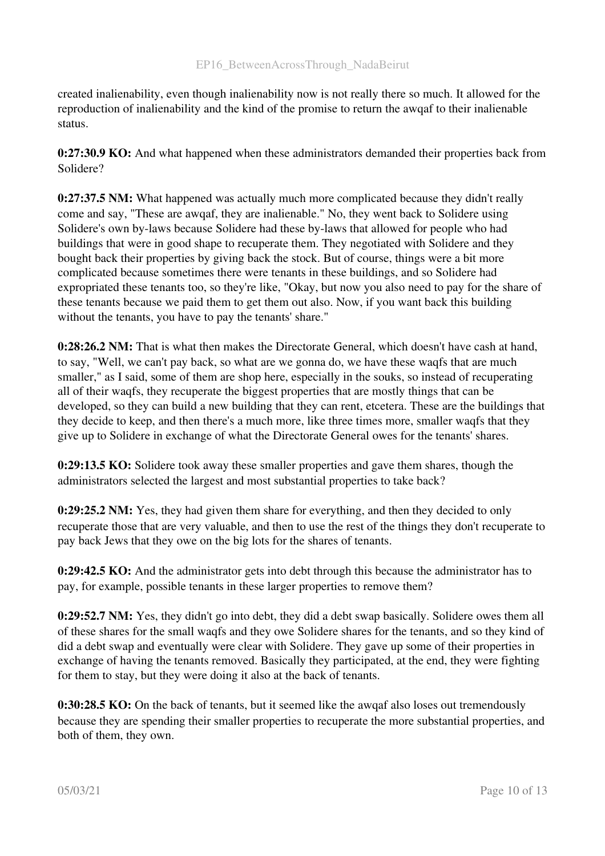created inalienability, even though inalienability now is not really there so much. It allowed for the reproduction of inalienability and the kind of the promise to return the awqaf to their inalienable status.

0:27:30.9 KO: And what happened when these administrators demanded their properties back from Solidere?

0:27:37.5 NM: What happened was actually much more complicated because they didn't really come and say, "These are awqaf, they are inalienable." No, they went back to Solidere using Solidere's own by-laws because Solidere had these by-laws that allowed for people who had buildings that were in good shape to recuperate them. They negotiated with Solidere and they bought back their properties by giving back the stock. But of course, things were a bit more complicated because sometimes there were tenants in these buildings, and so Solidere had expropriated these tenants too, so they're like, "Okay, but now you also need to pay for the share of these tenants because we paid them to get them out also. Now, if you want back this building without the tenants, you have to pay the tenants' share."

0:28:26.2 NM: That is what then makes the Directorate General, which doesn't have cash at hand, to say, "Well, we can't pay back, so what are we gonna do, we have these waqfs that are much smaller," as I said, some of them are shop here, especially in the souks, so instead of recuperating all of their waqfs, they recuperate the biggest properties that are mostly things that can be developed, so they can build a new building that they can rent, etcetera. These are the buildings that they decide to keep, and then there's a much more, like three times more, smaller waqfs that they give up to Solidere in exchange of what the Directorate General owes for the tenants' shares.

0:29:13.5 KO: Solidere took away these smaller properties and gave them shares, though the administrators selected the largest and most substantial properties to take back?

0:29:25.2 NM: Yes, they had given them share for everything, and then they decided to only recuperate those that are very valuable, and then to use the rest of the things they don't recuperate to pay back Jews that they owe on the big lots for the shares of tenants.

0:29:42.5 KO: And the administrator gets into debt through this because the administrator has to pay, for example, possible tenants in these larger properties to remove them?

0:29:52.7 NM: Yes, they didn't go into debt, they did a debt swap basically. Solidere owes them all of these shares for the small waqfs and they owe Solidere shares for the tenants, and so they kind of did a debt swap and eventually were clear with Solidere. They gave up some of their properties in exchange of having the tenants removed. Basically they participated, at the end, they were fighting for them to stay, but they were doing it also at the back of tenants.

0:30:28.5 KO: On the back of tenants, but it seemed like the awqaf also loses out tremendously because they are spending their smaller properties to recuperate the more substantial properties, and both of them, they own.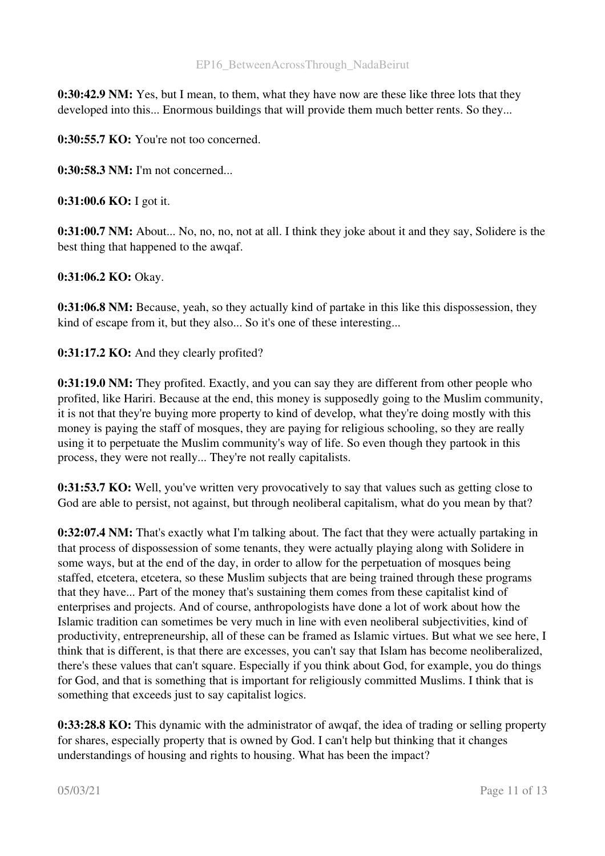0:30:42.9 NM: Yes, but I mean, to them, what they have now are these like three lots that they developed into this... Enormous buildings that will provide them much better rents. So they...

0:30:55.7 KO: You're not too concerned.

0:30:58.3 NM: I'm not concerned...

0:31:00.6 KO: I got it.

0:31:00.7 NM: About... No, no, no, not at all. I think they joke about it and they say, Solidere is the best thing that happened to the awqaf.

0:31:06.2 KO: Okay.

0:31:06.8 NM: Because, yeah, so they actually kind of partake in this like this dispossession, they kind of escape from it, but they also... So it's one of these interesting...

0:31:17.2 KO: And they clearly profited?

0:31:19.0 NM: They profited. Exactly, and you can say they are different from other people who profited, like Hariri. Because at the end, this money is supposedly going to the Muslim community, it is not that they're buying more property to kind of develop, what they're doing mostly with this money is paying the staff of mosques, they are paying for religious schooling, so they are really using it to perpetuate the Muslim community's way of life. So even though they partook in this process, they were not really... They're not really capitalists.

0:31:53.7 KO: Well, you've written very provocatively to say that values such as getting close to God are able to persist, not against, but through neoliberal capitalism, what do you mean by that?

0:32:07.4 NM: That's exactly what I'm talking about. The fact that they were actually partaking in that process of dispossession of some tenants, they were actually playing along with Solidere in some ways, but at the end of the day, in order to allow for the perpetuation of mosques being staffed, etcetera, etcetera, so these Muslim subjects that are being trained through these programs that they have... Part of the money that's sustaining them comes from these capitalist kind of enterprises and projects. And of course, anthropologists have done a lot of work about how the Islamic tradition can sometimes be very much in line with even neoliberal subjectivities, kind of productivity, entrepreneurship, all of these can be framed as Islamic virtues. But what we see here, I think that is different, is that there are excesses, you can't say that Islam has become neoliberalized, there's these values that can't square. Especially if you think about God, for example, you do things for God, and that is something that is important for religiously committed Muslims. I think that is something that exceeds just to say capitalist logics.

0:33:28.8 KO: This dynamic with the administrator of awqaf, the idea of trading or selling property for shares, especially property that is owned by God. I can't help but thinking that it changes understandings of housing and rights to housing. What has been the impact?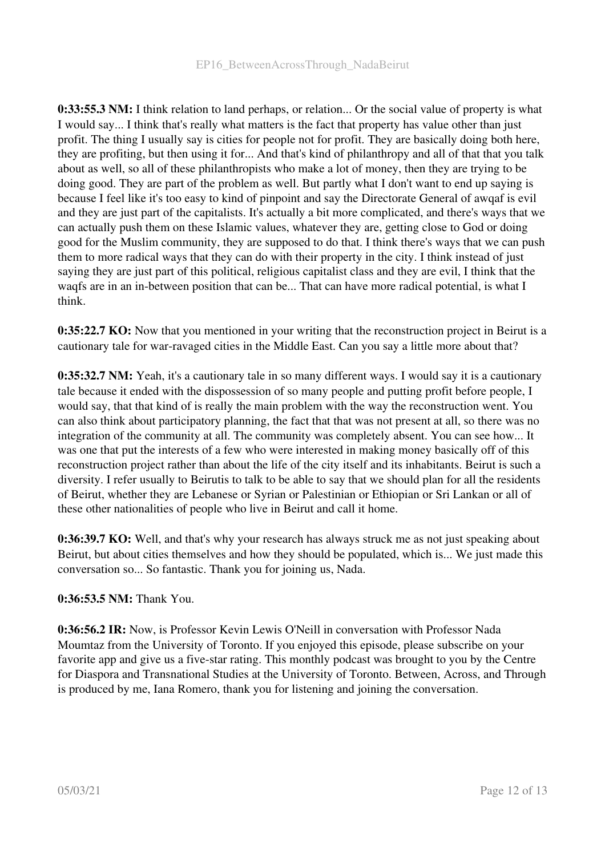0:33:55.3 NM: I think relation to land perhaps, or relation... Or the social value of property is what I would say... I think that's really what matters is the fact that property has value other than just profit. The thing I usually say is cities for people not for profit. They are basically doing both here, they are profiting, but then using it for... And that's kind of philanthropy and all of that that you talk about as well, so all of these philanthropists who make a lot of money, then they are trying to be doing good. They are part of the problem as well. But partly what I don't want to end up saying is because I feel like it's too easy to kind of pinpoint and say the Directorate General of awqaf is evil and they are just part of the capitalists. It's actually a bit more complicated, and there's ways that we can actually push them on these Islamic values, whatever they are, getting close to God or doing good for the Muslim community, they are supposed to do that. I think there's ways that we can push them to more radical ways that they can do with their property in the city. I think instead of just saying they are just part of this political, religious capitalist class and they are evil, I think that the waqfs are in an in-between position that can be... That can have more radical potential, is what I think.

0:35:22.7 KO: Now that you mentioned in your writing that the reconstruction project in Beirut is a cautionary tale for war-ravaged cities in the Middle East. Can you say a little more about that?

0:35:32.7 NM: Yeah, it's a cautionary tale in so many different ways. I would say it is a cautionary tale because it ended with the dispossession of so many people and putting profit before people, I would say, that that kind of is really the main problem with the way the reconstruction went. You can also think about participatory planning, the fact that that was not present at all, so there was no integration of the community at all. The community was completely absent. You can see how... It was one that put the interests of a few who were interested in making money basically off of this reconstruction project rather than about the life of the city itself and its inhabitants. Beirut is such a diversity. I refer usually to Beirutis to talk to be able to say that we should plan for all the residents of Beirut, whether they are Lebanese or Syrian or Palestinian or Ethiopian or Sri Lankan or all of these other nationalities of people who live in Beirut and call it home.

0:36:39.7 KO: Well, and that's why your research has always struck me as not just speaking about Beirut, but about cities themselves and how they should be populated, which is... We just made this conversation so... So fantastic. Thank you for joining us, Nada.

# 0:36:53.5 NM: Thank You.

0:36:56.2 IR: Now, is Professor Kevin Lewis O'Neill in conversation with Professor Nada Moumtaz from the University of Toronto. If you enjoyed this episode, please subscribe on your favorite app and give us a five-star rating. This monthly podcast was brought to you by the Centre for Diaspora and Transnational Studies at the University of Toronto. Between, Across, and Through is produced by me, Iana Romero, thank you for listening and joining the conversation.